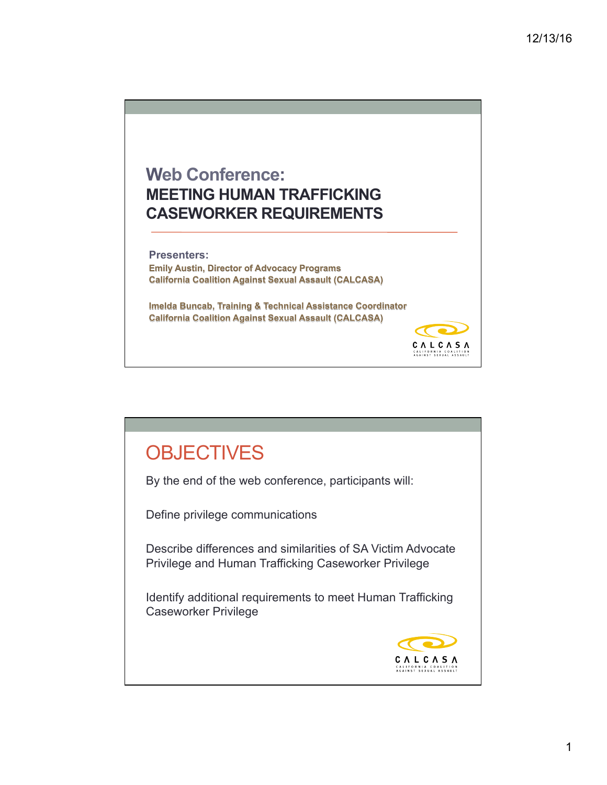

## **OBJECTIVES**

By the end of the web conference, participants will:

Define privilege communications

Describe differences and similarities of SA Victim Advocate Privilege and Human Trafficking Caseworker Privilege

Identify additional requirements to meet Human Trafficking Caseworker Privilege

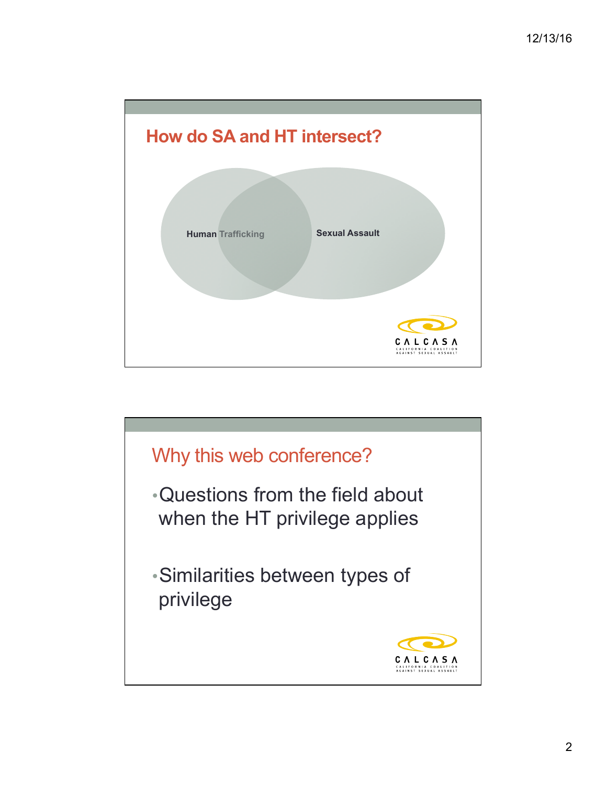

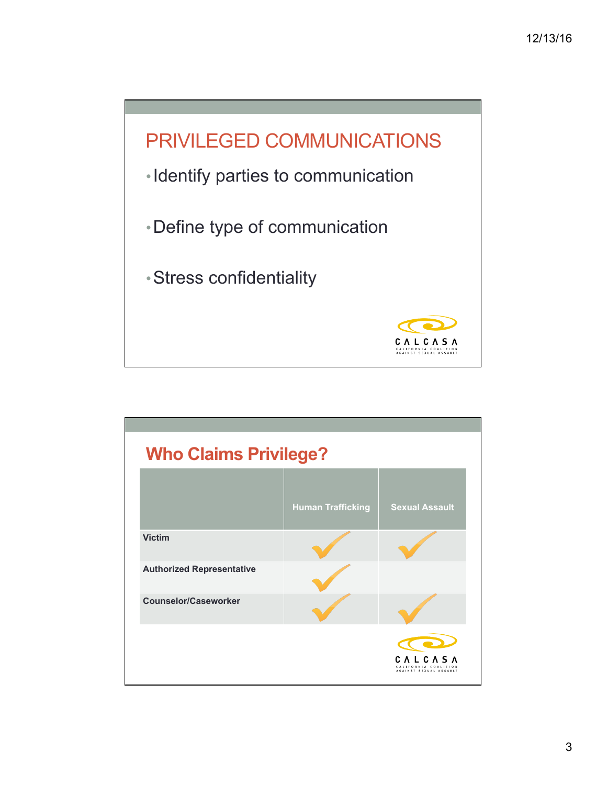

| <b>Who Claims Privilege?</b>     |                          |                                                     |
|----------------------------------|--------------------------|-----------------------------------------------------|
|                                  | <b>Human Trafficking</b> | <b>Sexual Assault</b>                               |
| <b>Victim</b>                    |                          |                                                     |
| <b>Authorized Representative</b> |                          |                                                     |
| <b>Counselor/Caseworker</b>      |                          |                                                     |
|                                  |                          | CALCAS<br>LIFORNIA COALIT<br>AGAINST SEXUAL ASSAULT |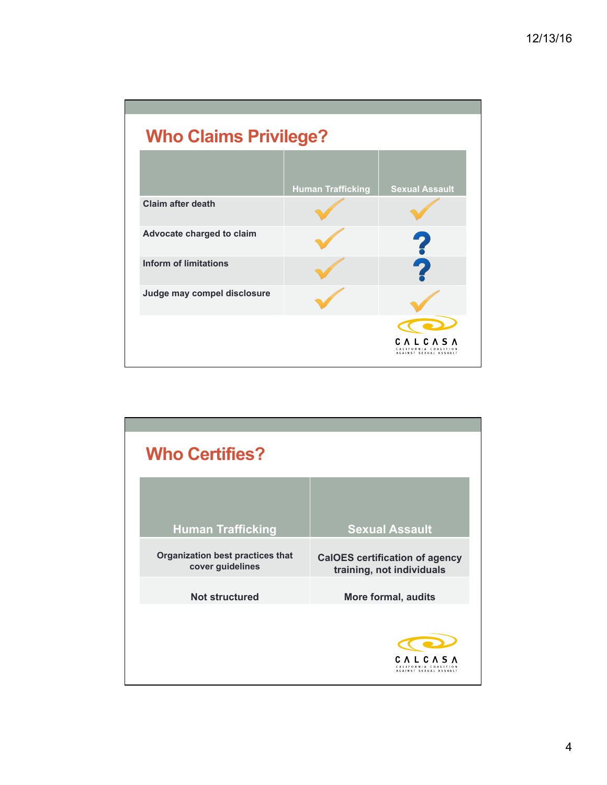| <b>Who Claims Privilege?</b> |                          |                                                                     |
|------------------------------|--------------------------|---------------------------------------------------------------------|
|                              | <b>Human Trafficking</b> | <b>Sexual Assault</b>                                               |
| <b>Claim after death</b>     |                          |                                                                     |
| Advocate charged to claim    |                          | 2                                                                   |
| <b>Inform of limitations</b> |                          |                                                                     |
| Judge may compel disclosure  |                          |                                                                     |
|                              |                          | $\Box$ C $\prime$<br>CALIFORNIA COALITION<br>AGAINST SEXUAL ASSAULT |

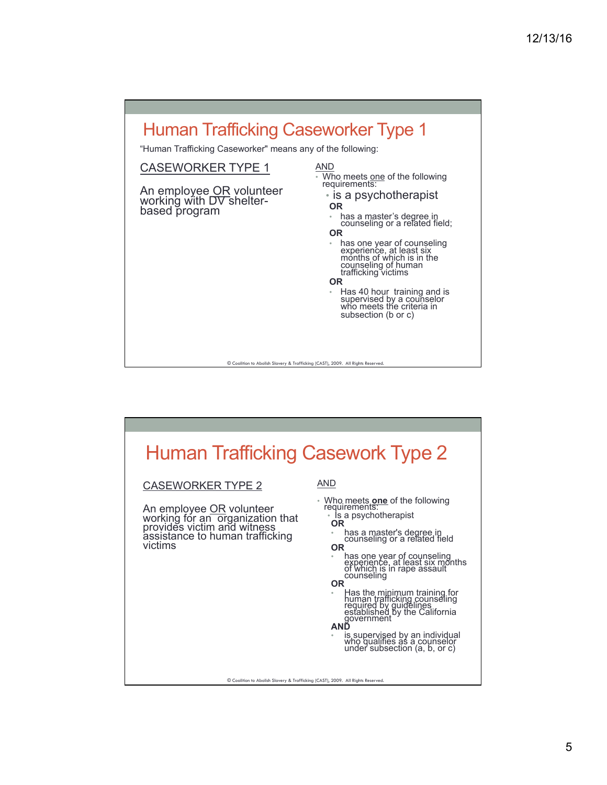

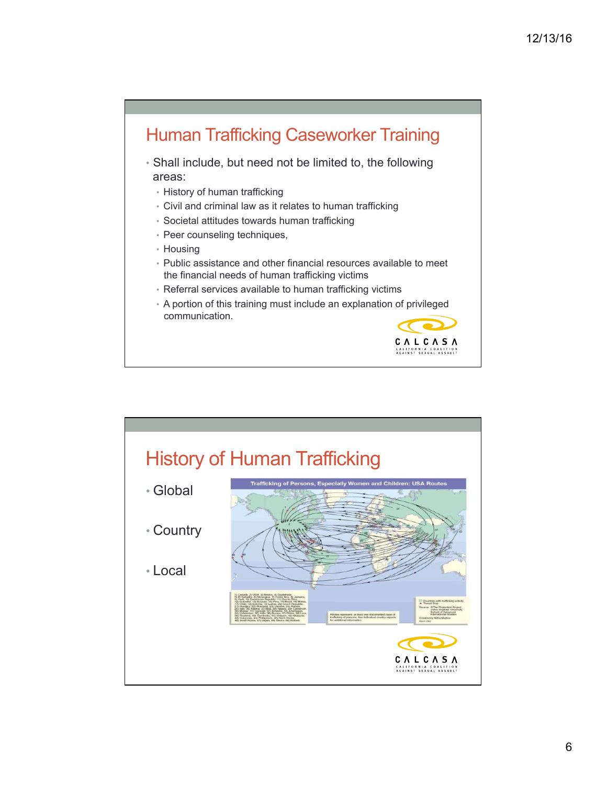## Human Trafficking Caseworker Training

- Shall include, but need not be limited to, the following areas:
	- History of human trafficking
	- Civil and criminal law as it relates to human trafficking
	- Societal attitudes towards human trafficking
	- Peer counseling techniques,
	- Housing
	- Public assistance and other financial resources available to meet the financial needs of human trafficking victims
	- Referral services available to human trafficking victims
	- A portion of this training must include an explanation of privileged communication.



## History of Human Trafficking dren: USA Roj • Global • Country • Local  $\begin{array}{l} \textbf{C} \hspace{0.2cm} \textbf{A} \hspace{0.2cm} \textbf{L} \hspace{0.2cm} \textbf{C} \hspace{0.2cm} \textbf{A} \hspace{0.2cm} \textbf{S} \hspace{0.2cm} \textbf{A} \\ \textbf{CALIPOR NIA COALITION} \\ \textbf{AGAINST SE XUXIAL ASSAULT} \end{array}$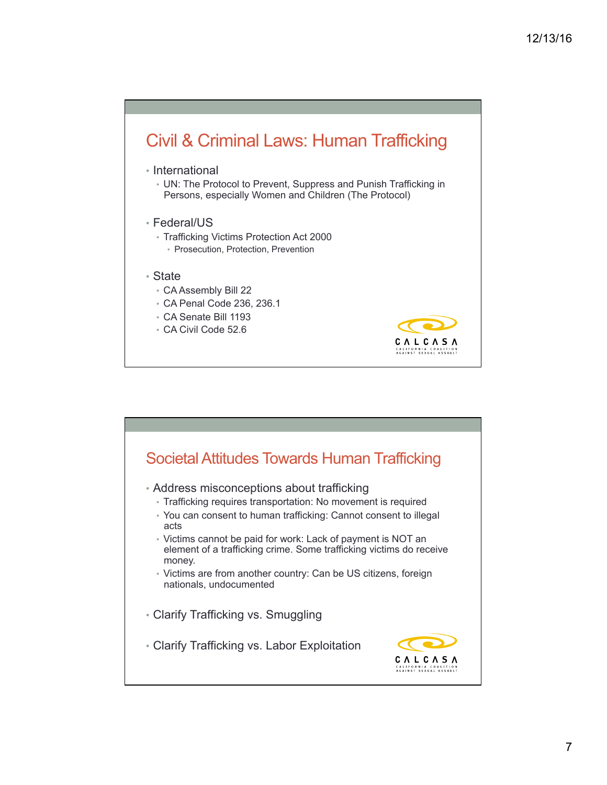## Civil & Criminal Laws: Human Trafficking

- International
	- UN: The Protocol to Prevent, Suppress and Punish Trafficking in Persons, especially Women and Children (The Protocol)

CALCASA CALIFORNIA COALITION<br>AGAINST SEXUAL ASSAULT

- Federal/US
	- Trafficking Victims Protection Act 2000
		- Prosecution, Protection, Prevention
- State
	- CA Assembly Bill 22
	- CA Penal Code 236, 236.1
	- CA Senate Bill 1193
	- CA Civil Code 52.6

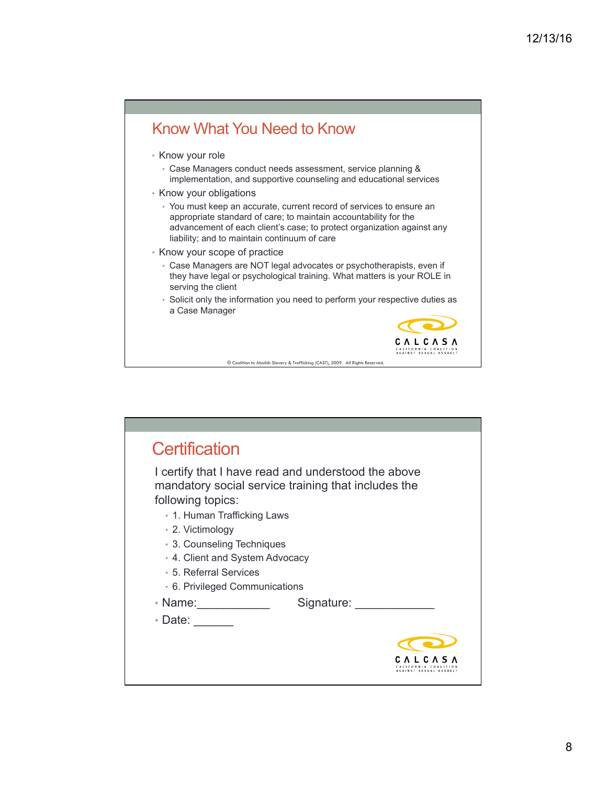

| <b>Certification</b>                                                                                                            |
|---------------------------------------------------------------------------------------------------------------------------------|
| I certify that I have read and understood the above<br>mandatory social service training that includes the<br>following topics: |
| • 1. Human Trafficking Laws                                                                                                     |
| • 2. Victimology                                                                                                                |
| • 3. Counseling Techniques                                                                                                      |
| • 4. Client and System Advocacy                                                                                                 |
| • 5. Referral Services                                                                                                          |
| • 6. Privileged Communications                                                                                                  |
| Signature:<br>• Name:                                                                                                           |
| ∙ Date:                                                                                                                         |
|                                                                                                                                 |
|                                                                                                                                 |
| AGAINST SEXUAL ASSAUL'                                                                                                          |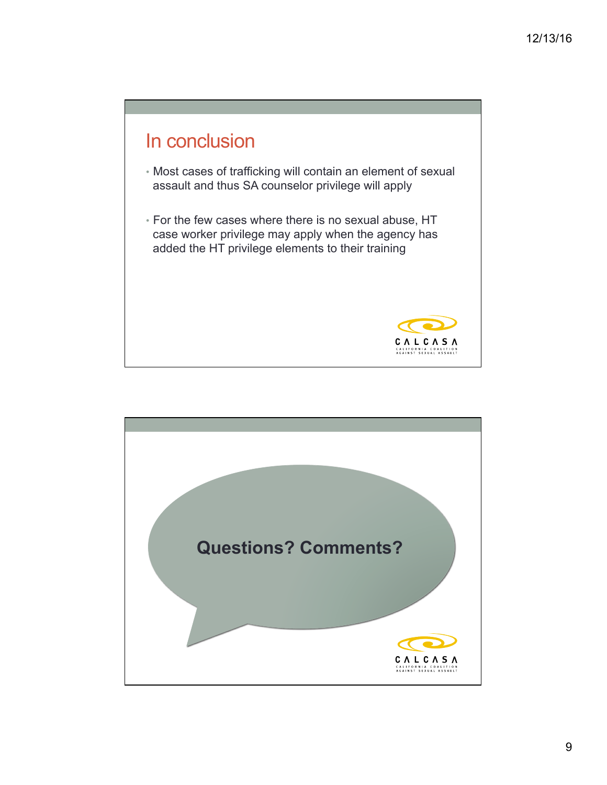